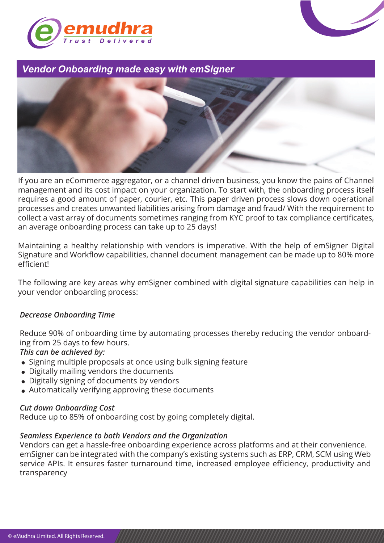



# *Vendor Onboarding made easy with emSigner*



If you are an eCommerce aggregator, or a channel driven business, you know the pains of Channel management and its cost impact on your organization. To start with, the onboarding process itself requires a good amount of paper, courier, etc. This paper driven process slows down operational processes and creates unwanted liabilities arising from damage and fraud/ With the requirement to collect a vast array of documents sometimes ranging from KYC proof to tax compliance certificates, an average onboarding process can take up to 25 days!

Maintaining a healthy relationship with vendors is imperative. With the help of emSigner Digital Signature and Workflow capabilities, channel document management can be made up to 80% more efficient!

The following are key areas why emSigner combined with digital signature capabilities can help in your vendor onboarding process:

#### *Decrease Onboarding Time*

Reduce 90% of onboarding time by automating processes thereby reducing the vendor onboarding from 25 days to few hours.

## *This can be achieved by:*

- Signing multiple proposals at once using bulk signing feature
- Digitally mailing vendors the documents
- Digitally signing of documents by vendors
- Automatically verifying approving these documents

#### *Cut down Onboarding Cost*

Reduce up to 85% of onboarding cost by going completely digital.

#### *Seamless Experience to both Vendors and the Organization*

Vendors can get a hassle-free onboarding experience across platforms and at their convenience. emSigner can be integrated with the company's existing systems such as ERP, CRM, SCM using Web service APIs. It ensures faster turnaround time, increased employee efficiency, productivity and transparency